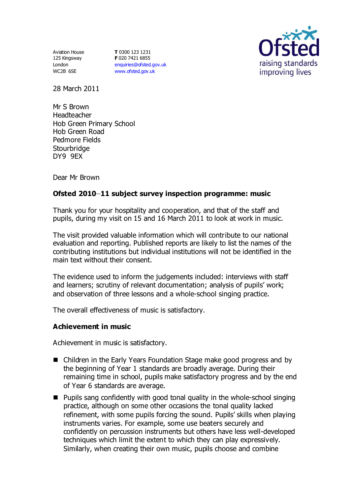Aviation House 125 Kingsway London WC2B 6SE

**T** 0300 123 1231 **F** 020 7421 6855 [enquiries@ofsted.gov.uk](mailto:enquiries@ofsted.gov.uk) [www.ofsted.gov.uk](http://www.ofsted.gov.uk/)



28 March 2011

Mr S Brown Headteacher Hob Green Primary School Hob Green Road Pedmore Fields **Stourbridge** DY9 9EX

Dear Mr Brown

# **Ofsted 2010 11 subject survey inspection programme: music**

Thank you for your hospitality and cooperation, and that of the staff and pupils, during my visit on 15 and 16 March 2011 to look at work in music.

The visit provided valuable information which will contribute to our national evaluation and reporting. Published reports are likely to list the names of the contributing institutions but individual institutions will not be identified in the main text without their consent.

The evidence used to inform the judgements included: interviews with staff and learners; scrutiny of relevant documentation; analysis of pupils' work; and observation of three lessons and a whole-school singing practice.

The overall effectiveness of music is satisfactory.

# **Achievement in music**

Achievement in music is satisfactory.

- Children in the Early Years Foundation Stage make good progress and by the beginning of Year 1 standards are broadly average. During their remaining time in school, pupils make satisfactory progress and by the end of Year 6 standards are average.
- Pupils sang confidently with good tonal quality in the whole-school singing practice, although on some other occasions the tonal quality lacked refinement, with some pupils forcing the sound. Pupils' skills when playing instruments varies. For example, some use beaters securely and confidently on percussion instruments but others have less well-developed techniques which limit the extent to which they can play expressively. Similarly, when creating their own music, pupils choose and combine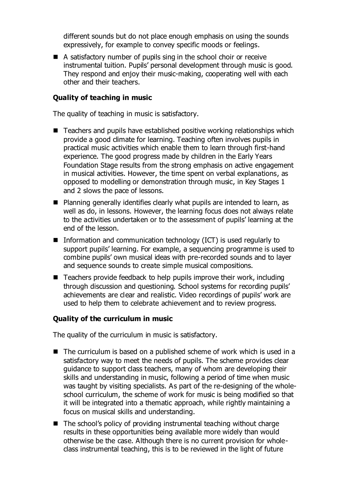different sounds but do not place enough emphasis on using the sounds expressively, for example to convey specific moods or feelings.

■ A satisfactory number of pupils sing in the school choir or receive instrumental tuition. Pupils' personal development through music is good. They respond and enjoy their music-making, cooperating well with each other and their teachers.

### **Quality of teaching in music**

The quality of teaching in music is satisfactory.

- Teachers and pupils have established positive working relationships which provide a good climate for learning. Teaching often involves pupils in practical music activities which enable them to learn through first-hand experience. The good progress made by children in the Early Years Foundation Stage results from the strong emphasis on active engagement in musical activities. However, the time spent on verbal explanations, as opposed to modelling or demonstration through music, in Key Stages 1 and 2 slows the pace of lessons.
- Planning generally identifies clearly what pupils are intended to learn, as well as do, in lessons. However, the learning focus does not always relate to the activities undertaken or to the assessment of pupils' learning at the end of the lesson.
- **Information and communication technology (ICT) is used regularly to** support pupils' learning. For example, a sequencing programme is used to combine pupils' own musical ideas with pre-recorded sounds and to layer and sequence sounds to create simple musical compositions.
- Teachers provide feedback to help pupils improve their work, including through discussion and questioning. School systems for recording pupils' achievements are clear and realistic. Video recordings of pupils' work are used to help them to celebrate achievement and to review progress.

#### **Quality of the curriculum in music**

The quality of the curriculum in music is satisfactory.

- The curriculum is based on a published scheme of work which is used in a satisfactory way to meet the needs of pupils. The scheme provides clear guidance to support class teachers, many of whom are developing their skills and understanding in music, following a period of time when music was taught by visiting specialists. As part of the re-designing of the wholeschool curriculum, the scheme of work for music is being modified so that it will be integrated into a thematic approach, while rightly maintaining a focus on musical skills and understanding.
- $\blacksquare$  The school's policy of providing instrumental teaching without charge results in these opportunities being available more widely than would otherwise be the case. Although there is no current provision for wholeclass instrumental teaching, this is to be reviewed in the light of future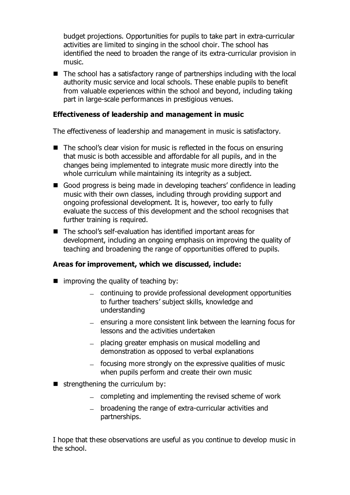budget projections. Opportunities for pupils to take part in extra-curricular activities are limited to singing in the school choir. The school has identified the need to broaden the range of its extra-curricular provision in music.

■ The school has a satisfactory range of partnerships including with the local authority music service and local schools. These enable pupils to benefit from valuable experiences within the school and beyond, including taking part in large-scale performances in prestigious venues.

### **Effectiveness of leadership and management in music**

The effectiveness of leadership and management in music is satisfactory.

- The school's clear vision for music is reflected in the focus on ensuring that music is both accessible and affordable for all pupils, and in the changes being implemented to integrate music more directly into the whole curriculum while maintaining its integrity as a subject.
- Good progress is being made in developing teachers' confidence in leading music with their own classes, including through providing support and ongoing professional development. It is, however, too early to fully evaluate the success of this development and the school recognises that further training is required.
- The school's self-evaluation has identified important areas for development, including an ongoing emphasis on improving the quality of teaching and broadening the range of opportunities offered to pupils.

# **Areas for improvement, which we discussed, include:**

- $\blacksquare$  improving the quality of teaching by:
	- continuing to provide professional development opportunities to further teachers' subject skills, knowledge and understanding
	- $-$  ensuring a more consistent link between the learning focus for lessons and the activities undertaken
	- placing greater emphasis on musical modelling and demonstration as opposed to verbal explanations
	- $-$  focusing more strongly on the expressive qualities of music when pupils perform and create their own music
- $\blacksquare$  strengthening the curriculum by:
	- $-$  completing and implementing the revised scheme of work
	- broadening the range of extra-curricular activities and partnerships.

I hope that these observations are useful as you continue to develop music in the school.